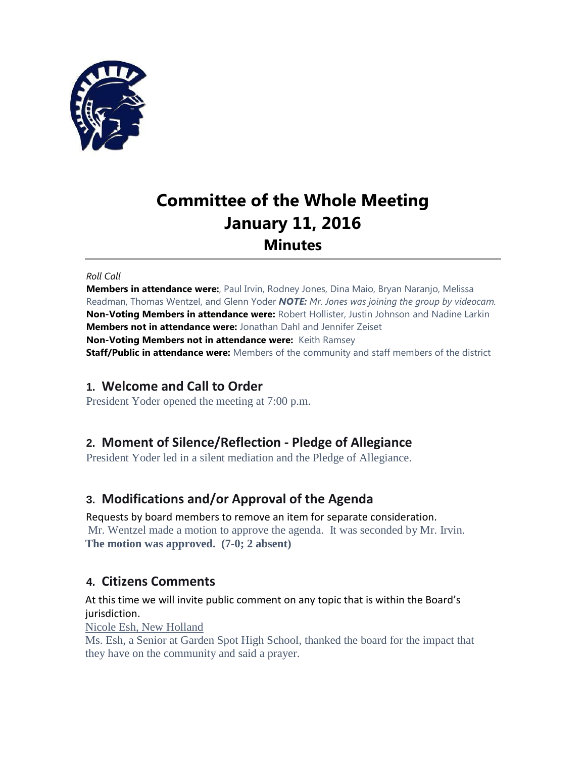

# **Committee of the Whole Meeting January 11, 2016 Minutes**

#### *Roll Call*

**Members in attendance were:**, Paul Irvin, Rodney Jones, Dina Maio, Bryan Naranjo, Melissa Readman, Thomas Wentzel, and Glenn Yoder *NOTE: Mr. Jones was joining the group by videocam.* **Non-Voting Members in attendance were:** Robert Hollister, Justin Johnson and Nadine Larkin **Members not in attendance were:** Jonathan Dahl and Jennifer Zeiset **Non-Voting Members not in attendance were:** Keith Ramsey **Staff/Public in attendance were:** Members of the community and staff members of the district

# **1. Welcome and Call to Order**

President Yoder opened the meeting at 7:00 p.m.

# **2. Moment of Silence/Reflection - Pledge of Allegiance**

President Yoder led in a silent mediation and the Pledge of Allegiance.

# **3. Modifications and/or Approval of the Agenda**

Requests by board members to remove an item for separate consideration. Mr. Wentzel made a motion to approve the agenda. It was seconded by Mr. Irvin. **The motion was approved. (7-0; 2 absent)**

# **4. Citizens Comments**

At this time we will invite public comment on any topic that is within the Board's jurisdiction.

Nicole Esh, New Holland

Ms. Esh, a Senior at Garden Spot High School, thanked the board for the impact that they have on the community and said a prayer.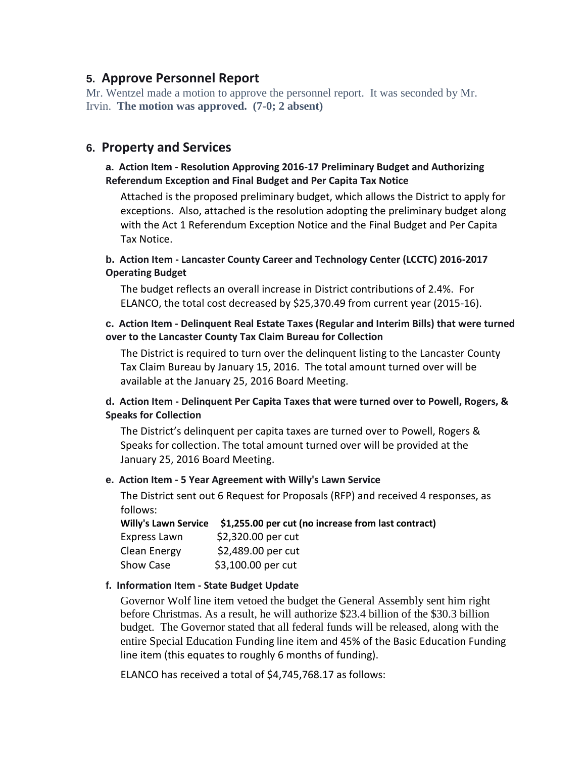# **5. Approve Personnel Report**

Mr. Wentzel made a motion to approve the personnel report. It was seconded by Mr. Irvin. **The motion was approved. (7-0; 2 absent)**

## **6. Property and Services**

#### **a. Action Item - Resolution Approving 2016-17 Preliminary Budget and Authorizing Referendum Exception and Final Budget and Per Capita Tax Notice**

Attached is the proposed preliminary budget, which allows the District to apply for exceptions. Also, attached is the resolution adopting the preliminary budget along with the Act 1 Referendum Exception Notice and the Final Budget and Per Capita Tax Notice.

#### **b. Action Item - Lancaster County Career and Technology Center (LCCTC) 2016-2017 Operating Budget**

The budget reflects an overall increase in District contributions of 2.4%. For ELANCO, the total cost decreased by \$25,370.49 from current year (2015-16).

#### **c. Action Item - Delinquent Real Estate Taxes (Regular and Interim Bills) that were turned over to the Lancaster County Tax Claim Bureau for Collection**

The District is required to turn over the delinquent listing to the Lancaster County Tax Claim Bureau by January 15, 2016. The total amount turned over will be available at the January 25, 2016 Board Meeting.

#### **d. Action Item - Delinquent Per Capita Taxes that were turned over to Powell, Rogers, & Speaks for Collection**

The District's delinquent per capita taxes are turned over to Powell, Rogers & Speaks for collection. The total amount turned over will be provided at the January 25, 2016 Board Meeting.

#### **e. Action Item - 5 Year Agreement with Willy's Lawn Service**

The District sent out 6 Request for Proposals (RFP) and received 4 responses, as follows:

**Willy's Lawn Service \$1,255.00 per cut (no increase from last contract)** Express Lawn \$2,320.00 per cut Clean Energy \$2,489.00 per cut Show Case \$3,100.00 per cut

#### **f. Information Item - State Budget Update**

Governor Wolf line item vetoed the budget the General Assembly sent him right before Christmas. As a result, he will authorize \$23.4 billion of the \$30.3 billion budget. The Governor stated that all federal funds will be released, along with the entire Special Education Funding line item and 45% of the Basic Education Funding line item (this equates to roughly 6 months of funding).

ELANCO has received a total of \$4,745,768.17 as follows: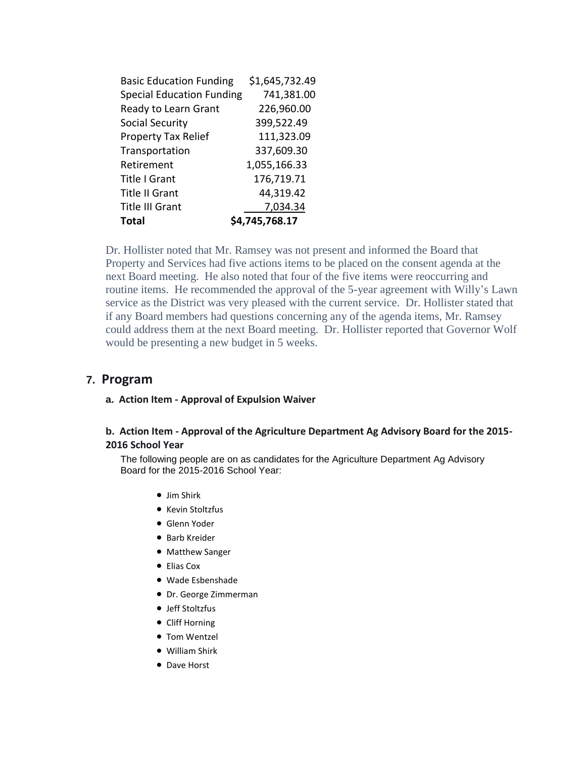| <b>Basic Education Funding</b>   | \$1,645,732.49 |
|----------------------------------|----------------|
| <b>Special Education Funding</b> | 741,381.00     |
| Ready to Learn Grant             | 226,960.00     |
| Social Security                  | 399,522.49     |
| <b>Property Tax Relief</b>       | 111,323.09     |
| Transportation                   | 337,609.30     |
| Retirement                       | 1,055,166.33   |
| <b>Title I Grant</b>             | 176,719.71     |
| <b>Title II Grant</b>            | 44,319.42      |
| <b>Title III Grant</b>           | 7,034.34       |
| Total                            | \$4,745,768.17 |

Dr. Hollister noted that Mr. Ramsey was not present and informed the Board that Property and Services had five actions items to be placed on the consent agenda at the next Board meeting. He also noted that four of the five items were reoccurring and routine items. He recommended the approval of the 5-year agreement with Willy's Lawn service as the District was very pleased with the current service. Dr. Hollister stated that if any Board members had questions concerning any of the agenda items, Mr. Ramsey could address them at the next Board meeting. Dr. Hollister reported that Governor Wolf would be presenting a new budget in 5 weeks.

#### **7. Program**

#### **a. Action Item - Approval of Expulsion Waiver**

#### **b. Action Item - Approval of the Agriculture Department Ag Advisory Board for the 2015- 2016 School Year**

The following people are on as candidates for the Agriculture Department Ag Advisory Board for the 2015-2016 School Year:

- Jim Shirk
- Kevin Stoltzfus
- Glenn Yoder
- **•** Barb Kreider
- Matthew Sanger
- Elias Cox
- Wade Esbenshade
- Dr. George Zimmerman
- Jeff Stoltzfus
- Cliff Horning
- Tom Wentzel
- William Shirk
- Dave Horst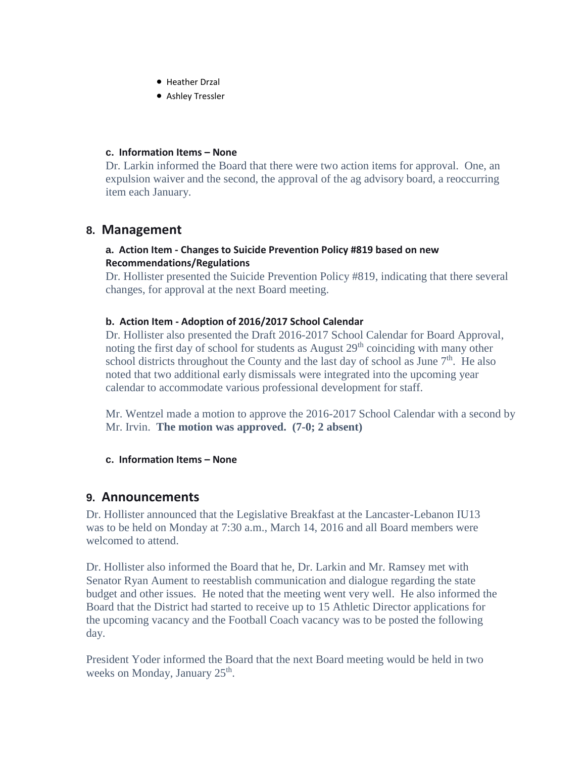- **Heather Drzal**
- Ashley Tressler

#### **c. Information Items – None**

Dr. Larkin informed the Board that there were two action items for approval. One, an expulsion waiver and the second, the approval of the ag advisory board, a reoccurring item each January.

### **8. Management**

#### **a. Action Item - Changes to Suicide Prevention Policy #819 based on new Recommendations/Regulations**

Dr. Hollister presented the Suicide Prevention Policy #819, indicating that there several changes, for approval at the next Board meeting.

#### **b. Action Item - Adoption of 2016/2017 School Calendar**

Dr. Hollister also presented the Draft 2016-2017 School Calendar for Board Approval, noting the first day of school for students as August  $29<sup>th</sup>$  coinciding with many other school districts throughout the County and the last day of school as June  $7<sup>th</sup>$ . He also noted that two additional early dismissals were integrated into the upcoming year calendar to accommodate various professional development for staff.

Mr. Wentzel made a motion to approve the 2016-2017 School Calendar with a second by Mr. Irvin. **The motion was approved. (7-0; 2 absent)**

#### **c. Information Items – None**

#### **9. Announcements**

Dr. Hollister announced that the Legislative Breakfast at the Lancaster-Lebanon IU13 was to be held on Monday at 7:30 a.m., March 14, 2016 and all Board members were welcomed to attend.

Dr. Hollister also informed the Board that he, Dr. Larkin and Mr. Ramsey met with Senator Ryan Aument to reestablish communication and dialogue regarding the state budget and other issues. He noted that the meeting went very well. He also informed the Board that the District had started to receive up to 15 Athletic Director applications for the upcoming vacancy and the Football Coach vacancy was to be posted the following day.

President Yoder informed the Board that the next Board meeting would be held in two weeks on Monday, January 25<sup>th</sup>.